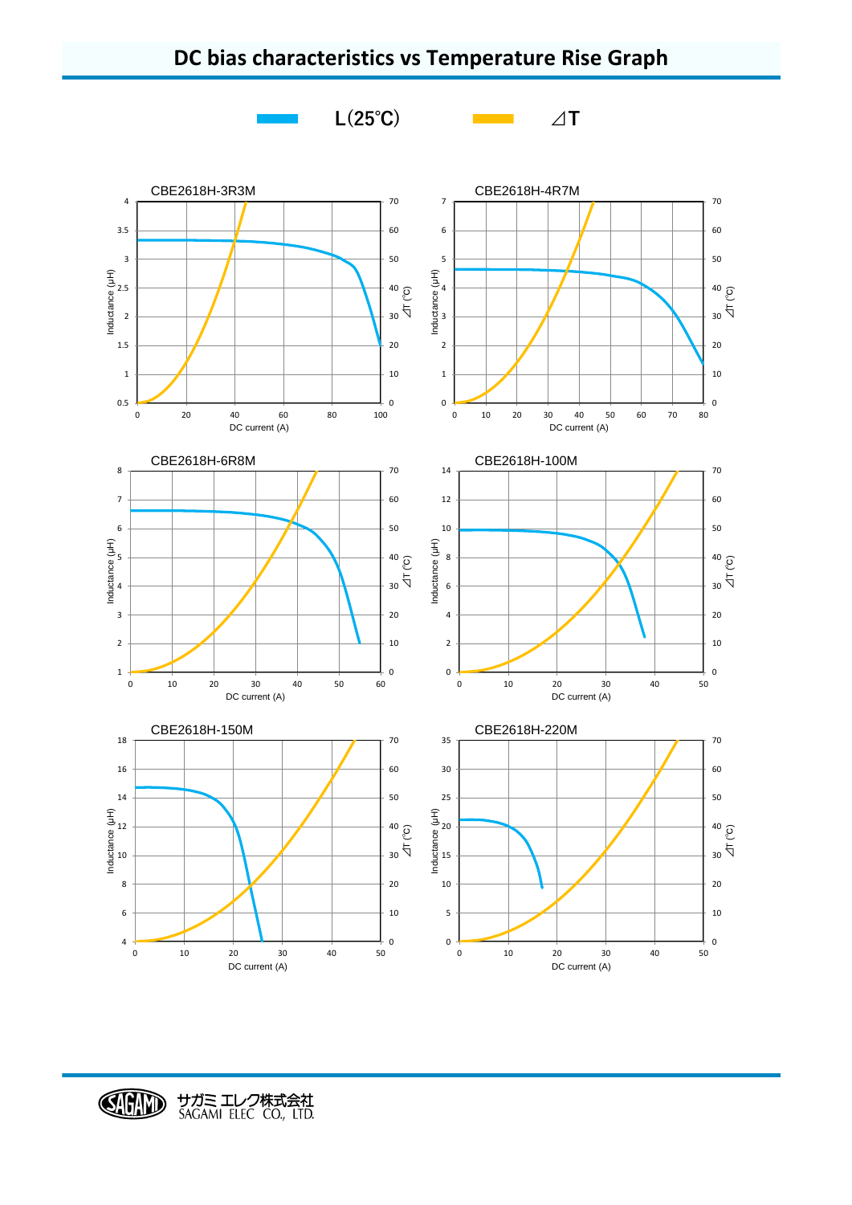